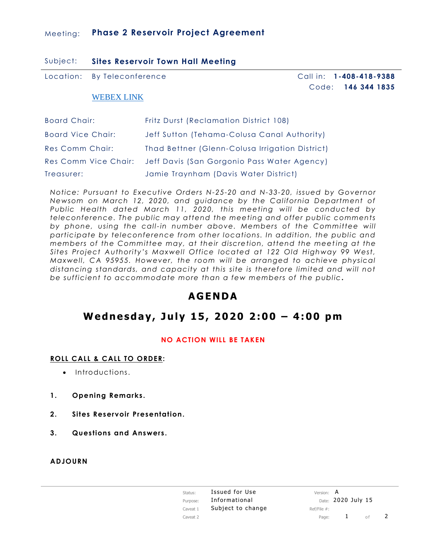### Meeting: **Phase 2 Reservoir Project Agreement**

| Subject: | <b>Sites Reservoir Town Hall Meeting</b> |  |  |  |
|----------|------------------------------------------|--|--|--|
|----------|------------------------------------------|--|--|--|

Location: By Teleconference

 Call in: **1-408-418-9388** Code: **146 344 1835**

#### [WEBEX LINK](https://meethdr.webex.com/meethdr/j.php?MTID=m1ed15ac18c7ff761597c59f3445771e5)

| Board Chair:             | Fritz Durst (Reclamation District 108)                           |
|--------------------------|------------------------------------------------------------------|
| <b>Board Vice Chair:</b> | Jeff Sutton (Tehama-Colusa Canal Authority)                      |
| <b>Res Comm Chair:</b>   | Thad Bettner (Glenn-Colusa Irrigation District)                  |
|                          | Res Comm Vice Chair: Jeff Davis (San Gorgonio Pass Water Agency) |
| Treasurer:               | Jamie Traynham (Davis Water District)                            |

*Notice: Pursuant to Executive Orders N-25-20 and N-33-20, issued by Governor Newsom on March 12, 2020, and guidance by the California Department of Public Health dated March 11, 2020, this meeting will be conducted by teleconference. The public may attend the meeting and offer public comments*  by phone, using the call-in number above. Members of the Committee will *participate by teleconference from other locations. In addition, the public and members of the Committee may, at their discretion, attend the meeting at the Sites Project Authority's Maxwell Office located at 122 Old Highway 99 West, Maxwell, CA 95955. However, the room will be arranged to achieve physical distancing standards, and capacity at this site is therefore limited and will not be sufficient to accommodate more than a few members of the public .*

# **AGEND A**

# **Wedne sday, July 15, 2020 2:00 – 4:00 pm**

#### **NO ACTION WILL BE TAKEN**

#### **ROLL CALL & CALL TO ORDER:**

- Introductions.
- **1. Opening Remarks .**
- **2. Sites Reservoir Presentation.**
- **3. Questions and Answers .**

#### **ADJOURN**